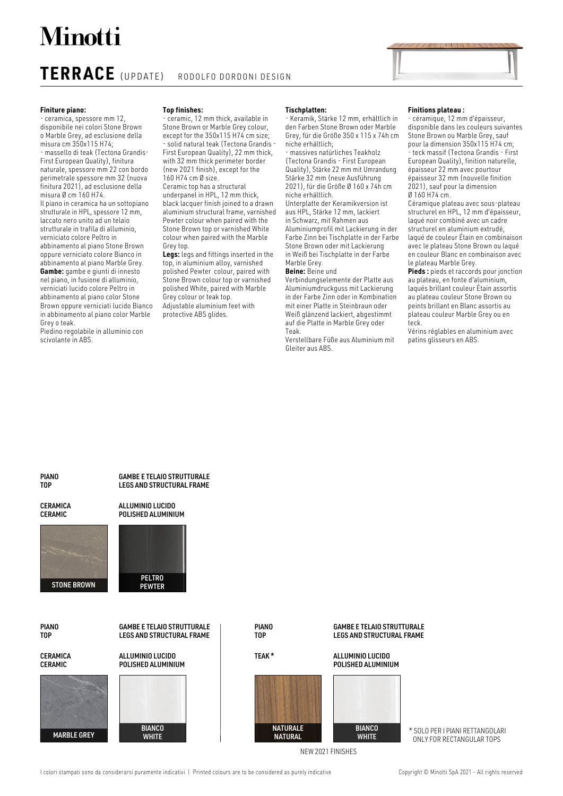# **Minotti**

## **TERRACE** (UPDATE) RODOLFO DORDONI DESIGN

#### **Finiture piano:**

- ceramica, spessore mm 12, disponibile nei colori Stone Brown o Marble Grey, ad esclusione della misura cm 350x115 H74; - massello di teak (Tectona Grandis-First European Quality), finitura naturale, spessore mm 22 con bordo perimetrale spessore mm 32 (nuova finitura 2021), ad esclusione della misura Ø cm 160 H74. Il piano in ceramica ha un sottopiano strutturale in HPL, spessore 12 mm, laccato nero unito ad un telaio strutturale in trafila di alluminio, verniciato colore Peltro in abbinamento al piano Stone Brown oppure verniciato colore Bianco in abbinamento al piano Marble Grey. **Gambe:** gambe e giunti di innesto nel piano, in fusione di alluminio, verniciati lucido colore Peltro in abbinamento al piano color Stone Brown oppure verniciati lucido Bianco in abbinamento al piano color Marble Grey o teak.

Piedino regolabile in alluminio con scivolante in ABS.

#### **Top finishes:**

- ceramic, 12 mm thick, available in Stone Brown or Marble Grey colour, except for the 350x115 H74 cm size; - solid natural teak (Tectona Grandis - First European Quality), 22 mm thick, with 32 mm thick perimeter border (new 2021 finish), except for the 160 H74 cm Ø size. Ceramic top has a structural underpanel in HPL, 12 mm thick, black lacquer finish joined to a drawn aluminium structural frame, varnished Pewter colour when paired with the Stone Brown top or varnished White colour when paired with the Marble Grey top.

**Legs:** legs and fittings inserted in the top, in aluminium alloy, varnished polished Pewter colour, paired with Stone Brown colour top or varnished polished White, paired with Marble Grey colour or teak top. Adjustable aluminium feet with protective ABS glides.

#### **Tischplatten:**

- Keramik, Stärke 12 mm, erhältlich in den Farben Stone Brown oder Marble Grey, für die Größe 350 x 115 x 74h cm niche erhältlich; - massives natürliches Teakholz

(Tectona Grandis - First European Quality), Stärke 22 mm mit Umrandung Stärke 32 mm (neue Ausführung 2021), für die Größe Ø 160 x 74h cm niche erhältlich.

Unterplatte der Keramikversion ist aus HPL, Stärke 12 mm, lackiert in Schwarz, mit Rahmen aus Aluminiumprofil mit Lackierung in der Farbe Zinn bei Tischplatte in der Farbe Stone Brown oder mit Lackierung in Weiß bei Tischplatte in der Farbe Marble Grey.

#### **Beine:** Beine und

Verbindungselemente der Platte aus Aluminiumdruckguss mit Lackierung in der Farbe Zinn oder in Kombination mit einer Platte in Steinbraun oder Weiß glänzend lackiert, abgestimmt auf die Platte in Marble Grey oder Teak.

Verstellbare Füße aus Aluminium mit Gleiter aus ABS.

#### **Finitions plateau :**

- céramique, 12 mm d'épaisseur, disponible dans les couleurs suivantes Stone Brown ou Marble Grey, sauf pour la dimension 350x115 H74 cm; - teck massif (Tectona Grandis - First European Quality), finition naturelle, épaisseur 22 mm avec pourtour épaisseur 32 mm (nouvelle finition 2021), sauf pour la dimension Ø 160 H74 cm.

Céramique plateau avec sous-plateau structurel en HPL, 12 mm d'épaisseur, laqué noir combiné avec un cadre structurel en aluminium extrudé, laqué de couleur Étain en combinaison avec le plateau Stone Brown ou laqué en couleur Blanc en combinaison avec le plateau Marble Grey.

**Pieds :** pieds et raccords pour jonction au plateau, en fonte d'aluminium, laqués brillant couleur Étain assortis au plateau couleur Stone Brown ou peints brillant en Blanc assortis au plateau couleur Marble Grey ou en teck.

Vérins réglables en aluminium avec patins glisseurs en ABS.

#### **PIANO** TOP

**CERAMICA** CERAMIC



PIANO TOP

**CERAMICA** CERAMIC





GAMBE E TELAIO STRUTTURALE LEGS AND STRUCTURAL FRAME

ALLUMINIO LUCIDO POLISHED ALUMINIUM

> PELTRO **PEWTER**

GAMBE E TELAIO STRUTTURALE LEGS AND STRUCTURAL FRAME

PIANO TOP

### TEAK \*



#### GAMBE E TELAIO STRUTTURALE LEGS AND STRUCTURAL FRAME

ALLUMINIO LUCIDO POLISHED ALUMINIUM



\* SOLO PER I PIANI RETTANGOLARI ONLY FOR RECTANGULAR TOPS

NEW 2021 FINISHES